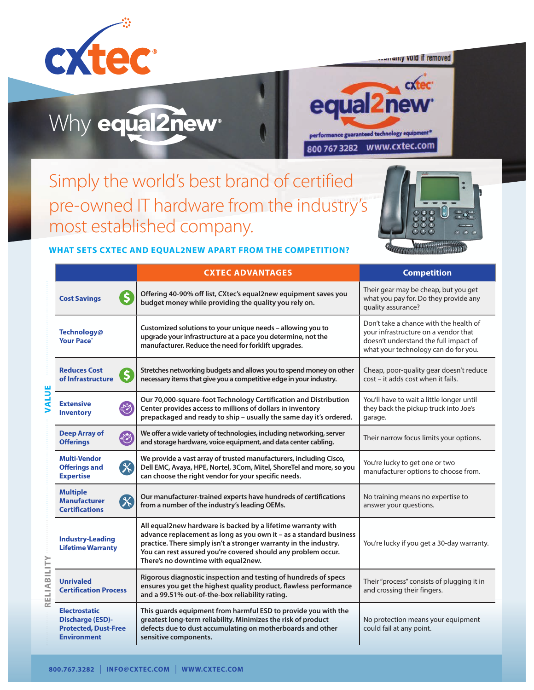

*<u><u><u><u>urranty</u>***</u>** void if removed</u></u>

## Why equal2new<sup>®</sup>



Simply the world's best brand of certified pre-owned IT hardware from the industry's most established company.



|                                                                                                      | <b>CXTEC ADVANTAGES</b>                                                                                                                                                                                                                                                                                         | <b>Competition</b>                                                                                                                                              |
|------------------------------------------------------------------------------------------------------|-----------------------------------------------------------------------------------------------------------------------------------------------------------------------------------------------------------------------------------------------------------------------------------------------------------------|-----------------------------------------------------------------------------------------------------------------------------------------------------------------|
| $\overline{\mathsf{S}}$<br><b>Cost Savings</b>                                                       | Offering 40-90% off list, CXtec's equal2new equipment saves you<br>budget money while providing the quality you rely on.                                                                                                                                                                                        | Their gear may be cheap, but you get<br>what you pay for. Do they provide any<br>quality assurance?                                                             |
| Technology@<br><b>Your Pace</b> <sup>®</sup>                                                         | Customized solutions to your unique needs - allowing you to<br>upgrade your infrastructure at a pace you determine, not the<br>manufacturer. Reduce the need for forklift upgrades.                                                                                                                             | Don't take a chance with the health of<br>your infrastructure on a vendor that<br>doesn't understand the full impact of<br>what your technology can do for you. |
| <b>Reduces Cost</b><br>of Infrastructure                                                             | Stretches networking budgets and allows you to spend money on other<br>necessary items that give you a competitive edge in your industry.                                                                                                                                                                       | Cheap, poor-quality gear doesn't reduce<br>cost - it adds cost when it fails.                                                                                   |
| <b>Extensive</b><br>3<br><b>Inventory</b>                                                            | Our 70,000-square-foot Technology Certification and Distribution<br>Center provides access to millions of dollars in inventory<br>prepackaged and ready to ship - usually the same day it's ordered.                                                                                                            | You'll have to wait a little longer until<br>they back the pickup truck into Joe's<br>garage.                                                                   |
| <b>Deep Array of</b><br>专<br><b>Offerings</b>                                                        | We offer a wide variety of technologies, including networking, server<br>and storage hardware, voice equipment, and data center cabling.                                                                                                                                                                        | Their narrow focus limits your options.                                                                                                                         |
| <b>Multi-Vendor</b><br>$\mathbb{X}$<br><b>Offerings and</b><br><b>Expertise</b>                      | We provide a vast array of trusted manufacturers, including Cisco,<br>Dell EMC, Avaya, HPE, Nortel, 3Com, Mitel, ShoreTel and more, so you<br>can choose the right vendor for your specific needs.                                                                                                              | You're lucky to get one or two<br>manufacturer options to choose from.                                                                                          |
| <b>Multiple</b><br>$\mathscr{K}$<br><b>Manufacturer</b><br><b>Certifications</b>                     | Our manufacturer-trained experts have hundreds of certifications<br>from a number of the industry's leading OEMs.                                                                                                                                                                                               | No training means no expertise to<br>answer your questions.                                                                                                     |
| <b>Industry-Leading</b><br><b>Lifetime Warranty</b>                                                  | All equal2new hardware is backed by a lifetime warranty with<br>advance replacement as long as you own it - as a standard business<br>practice. There simply isn't a stronger warranty in the industry.<br>You can rest assured you're covered should any problem occur.<br>There's no downtime with equal2new. | You're lucky if you get a 30-day warranty.                                                                                                                      |
| <b>Unrivaled</b><br><b>Certification Process</b>                                                     | Rigorous diagnostic inspection and testing of hundreds of specs<br>ensures you get the highest quality product, flawless performance<br>and a 99.51% out-of-the-box reliability rating.                                                                                                                         | Their "process" consists of plugging it in<br>and crossing their fingers.                                                                                       |
| <b>Electrostatic</b><br><b>Discharge (ESD)-</b><br><b>Protected, Dust-Free</b><br><b>Environment</b> | This guards equipment from harmful ESD to provide you with the<br>greatest long-term reliability. Minimizes the risk of product<br>defects due to dust accumulating on motherboards and other<br>sensitive components.                                                                                          | No protection means your equipment<br>could fail at any point.                                                                                                  |